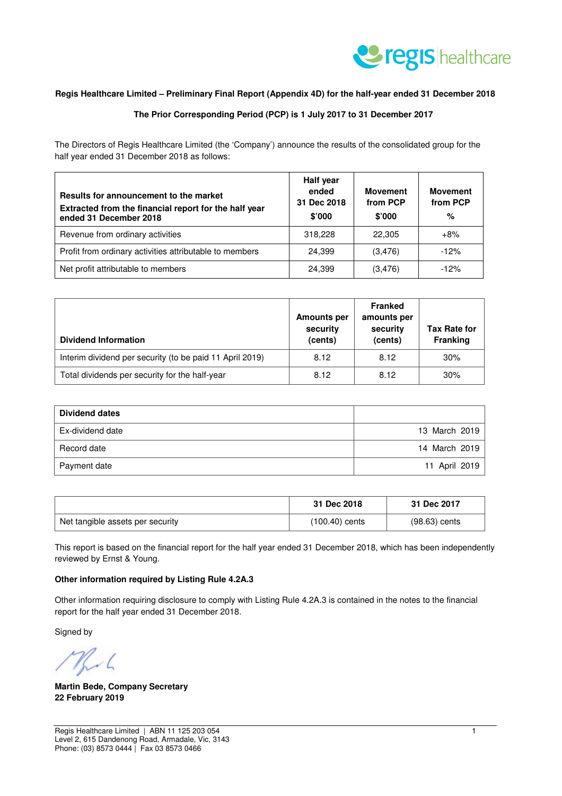

#### **Regis Healthcare Limited – Preliminary Final Report (Appendix 4D) for the half-year ended 31 December 2018**

#### **The Prior Corresponding Period (PCP) is 1 July 2017 to 31 December 2017**

The Directors of Regis Healthcare Limited (the 'Company') announce the results of the consolidated group for the half year ended 31 December 2018 as follows:

| Results for announcement to the market<br>Extracted from the financial report for the half year<br>ended 31 December 2018 | Half year<br>ended<br>31 Dec 2018<br>\$'000 | <b>Movement</b><br>from PCP<br>\$'000 | <b>Movement</b><br>from PCP<br>% |
|---------------------------------------------------------------------------------------------------------------------------|---------------------------------------------|---------------------------------------|----------------------------------|
| Revenue from ordinary activities                                                                                          | 318,228                                     | 22,305                                | $+8%$                            |
| Profit from ordinary activities attributable to members                                                                   | 24,399                                      | (3, 476)                              | $-12%$                           |
| Net profit attributable to members                                                                                        | 24,399                                      | (3, 476)                              | $-12%$                           |

| <b>Dividend Information</b>                              | <b>Amounts per</b><br>security<br>(cents) | <b>Franked</b><br>amounts per<br>security<br>(cents) | <b>Tax Rate for</b><br><b>Franking</b> |
|----------------------------------------------------------|-------------------------------------------|------------------------------------------------------|----------------------------------------|
| Interim dividend per security (to be paid 11 April 2019) | 8.12                                      | 8.12                                                 | 30%                                    |
| Total dividends per security for the half-year           | 8.12                                      | 8.12                                                 | 30%                                    |

| <b>Dividend dates</b> |               |
|-----------------------|---------------|
| Ex-dividend date      | 13 March 2019 |
| Record date           | 14 March 2019 |
| Payment date          | 11 April 2019 |

|                                  | 31 Dec 2018      | 31 Dec 2017     |
|----------------------------------|------------------|-----------------|
| Net tangible assets per security | $(100.40)$ cents | $(98.63)$ cents |

This report is based on the financial report for the half year ended 31 December 2018, which has been independently reviewed by Ernst & Young.

#### **Other information required by Listing Rule 4.2A.3**

Other information requiring disclosure to comply with Listing Rule 4.2A.3 is contained in the notes to the financial report for the half year ended 31 December 2018.

Signed by

Tha L

**Martin Bede, Company Secretary 22 February 2019**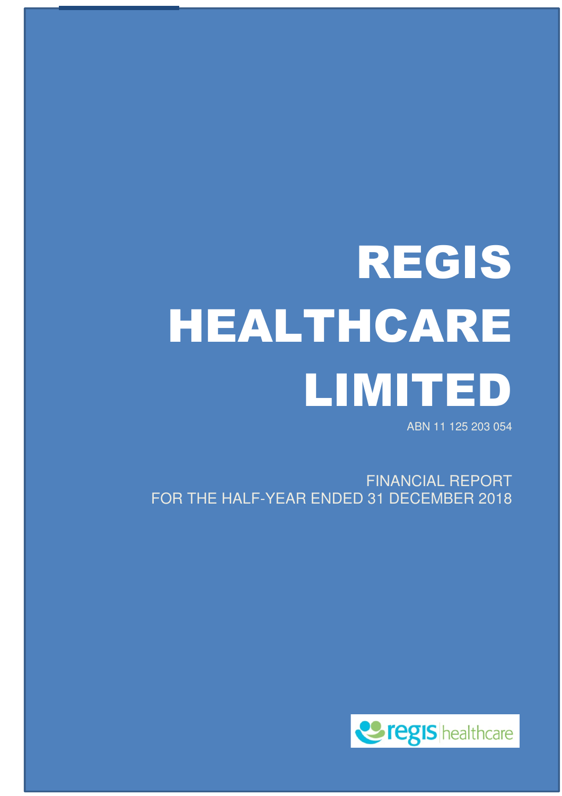# REGIS HEALTHCARE LIMITED

ABN 11 125 203 054

FINANCIAL REPORT FOR THE HALF-YEAR ENDED 31 DECEMBER 2018

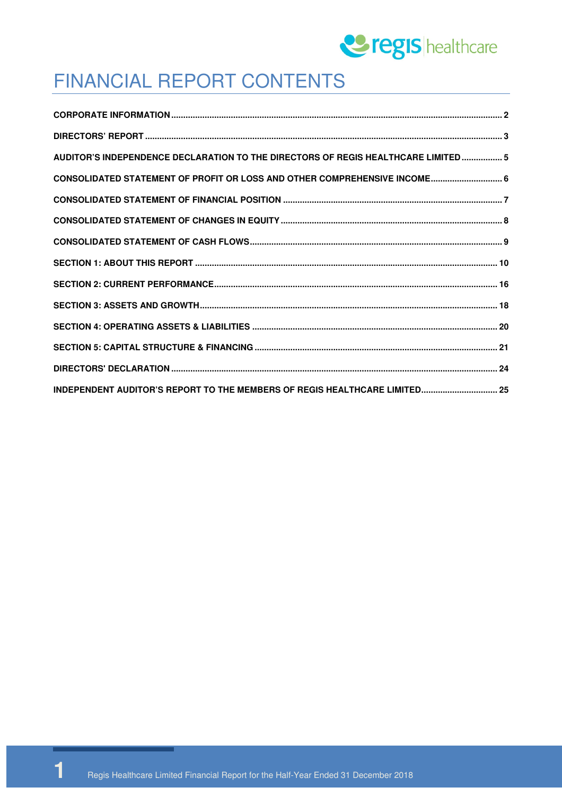

# FINANCIAL REPORT CONTENTS

| AUDITOR'S INDEPENDENCE DECLARATION TO THE DIRECTORS OF REGIS HEALTHCARE LIMITED 5 |  |
|-----------------------------------------------------------------------------------|--|
| CONSOLIDATED STATEMENT OF PROFIT OR LOSS AND OTHER COMPREHENSIVE INCOME 6         |  |
|                                                                                   |  |
|                                                                                   |  |
|                                                                                   |  |
|                                                                                   |  |
|                                                                                   |  |
|                                                                                   |  |
|                                                                                   |  |
|                                                                                   |  |
|                                                                                   |  |
|                                                                                   |  |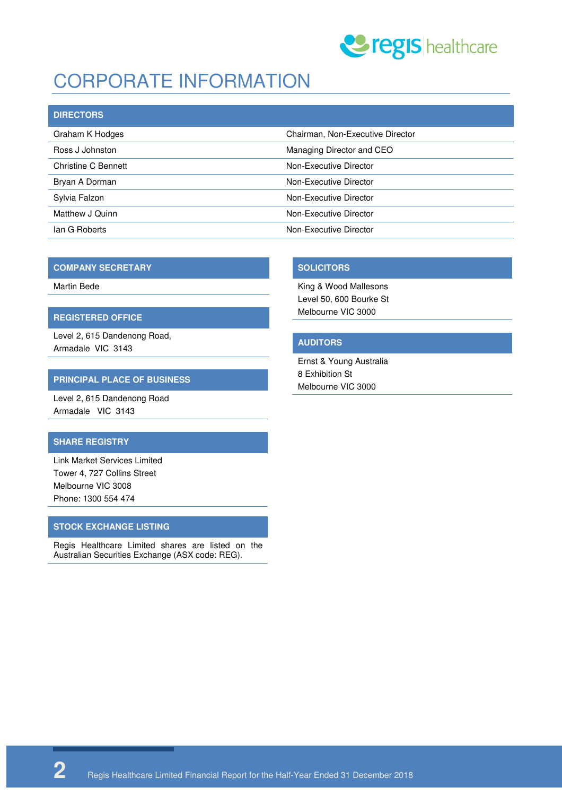

# CORPORATE INFORMATION

| <b>DIRECTORS</b>    |                                  |
|---------------------|----------------------------------|
| Graham K Hodges     | Chairman, Non-Executive Director |
| Ross J Johnston     | Managing Director and CEO        |
| Christine C Bennett | Non-Executive Director           |
| Bryan A Dorman      | Non-Executive Director           |
| Sylvia Falzon       | Non-Executive Director           |
| Matthew J Quinn     | Non-Executive Director           |
| lan G Roberts       | Non-Executive Director           |

#### **COMPANY SECRETARY**

Martin Bede

#### **REGISTERED OFFICE**

Level 2, 615 Dandenong Road, Armadale VIC 3143

#### **PRINCIPAL PLACE OF BUSINESS**

Level 2, 615 Dandenong Road Armadale VIC 3143

#### **SHARE REGISTRY**

Link Market Services Limited Tower 4, 727 Collins Street Melbourne VIC 3008 Phone: 1300 554 474

#### **STOCK EXCHANGE LISTING**

Regis Healthcare Limited shares are listed on the Australian Securities Exchange (ASX code: REG).

### **SOLICITORS**

King & Wood Mallesons Level 50, 600 Bourke St Melbourne VIC 3000

#### **AUDITORS**

Ernst & Young Australia 8 Exhibition St Melbourne VIC 3000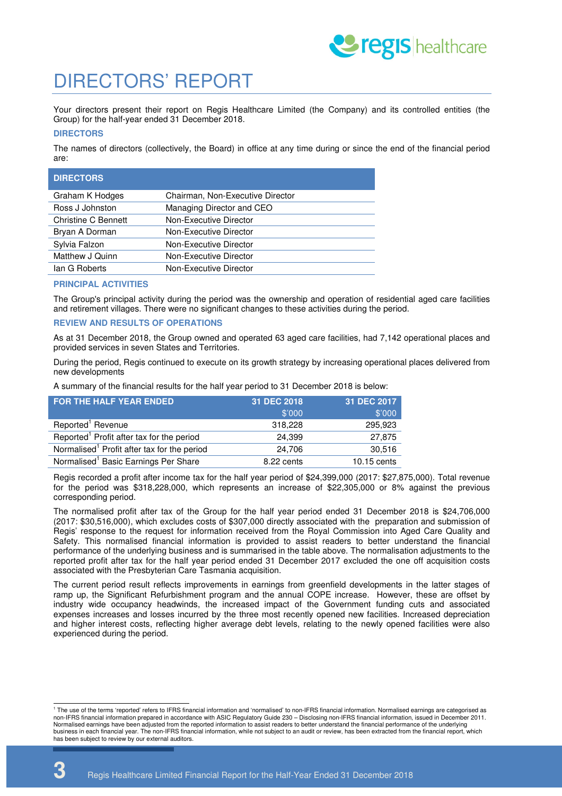

# DIRECTORS' REPORT

Your directors present their report on Regis Healthcare Limited (the Company) and its controlled entities (the Group) for the half-year ended 31 December 2018.

#### **DIRECTORS**

The names of directors (collectively, the Board) in office at any time during or since the end of the financial period are:

| <b>DIRECTORS</b>    |                                  |
|---------------------|----------------------------------|
| Graham K Hodges     | Chairman, Non-Executive Director |
| Ross J Johnston     | Managing Director and CEO        |
| Christine C Bennett | Non-Executive Director           |
| Bryan A Dorman      | Non-Executive Director           |
| Sylvia Falzon       | Non-Executive Director           |
| Matthew J Quinn     | Non-Executive Director           |
| lan G Roberts       | Non-Executive Director           |
|                     |                                  |

#### **PRINCIPAL ACTIVITIES**

The Group's principal activity during the period was the ownership and operation of residential aged care facilities and retirement villages. There were no significant changes to these activities during the period.

#### **REVIEW AND RESULTS OF OPERATIONS**

As at 31 December 2018, the Group owned and operated 63 aged care facilities, had 7,142 operational places and provided services in seven States and Territories.

During the period, Regis continued to execute on its growth strategy by increasing operational places delivered from new developments

A summary of the financial results for the half year period to 31 December 2018 is below:

| FOR THE HALF YEAR ENDED.                                | 31 DEC 2018 | 31 DEC 2017   |
|---------------------------------------------------------|-------------|---------------|
|                                                         | \$'000      | \$'000        |
| Reported <sup>1</sup> Revenue                           | 318.228     | 295,923       |
| Reported <sup>1</sup> Profit after tax for the period   | 24.399      | 27.875        |
| Normalised <sup>1</sup> Profit after tax for the period | 24.706      | 30,516        |
| Normalised <sup>1</sup> Basic Earnings Per Share        | 8.22 cents  | $10.15$ cents |

Regis recorded a profit after income tax for the half year period of \$24,399,000 (2017: \$27,875,000). Total revenue for the period was \$318,228,000, which represents an increase of \$22,305,000 or 8% against the previous corresponding period.

The normalised profit after tax of the Group for the half year period ended 31 December 2018 is \$24,706,000 (2017: \$30,516,000), which excludes costs of \$307,000 directly associated with the preparation and submission of Regis' response to the request for information received from the Royal Commission into Aged Care Quality and Safety. This normalised financial information is provided to assist readers to better understand the financial performance of the underlying business and is summarised in the table above. The normalisation adjustments to the reported profit after tax for the half year period ended 31 December 2017 excluded the one off acquisition costs associated with the Presbyterian Care Tasmania acquisition.

The current period result reflects improvements in earnings from greenfield developments in the latter stages of ramp up, the Significant Refurbishment program and the annual COPE increase. However, these are offset by industry wide occupancy headwinds, the increased impact of the Government funding cuts and associated expenses increases and losses incurred by the three most recently opened new facilities. Increased depreciation and higher interest costs, reflecting higher average debt levels, relating to the newly opened facilities were also experienced during the period.

 1 The use of the terms 'reported' refers to IFRS financial information and 'normalised' to non-IFRS financial information. Normalised earnings are categorised as non-IFRS financial information prepared in accordance with ASIC Regulatory Guide 230 – Disclosing non-IFRS financial information, issued in December 2011. Normalised earnings have been adjusted from the reported information to assist readers to better understand the financial performance of the underlying business in each financial year. The non-IFRS financial information, while not subject to an audit or review, has been extracted from the financial report, which has been subject to review by our external auditors.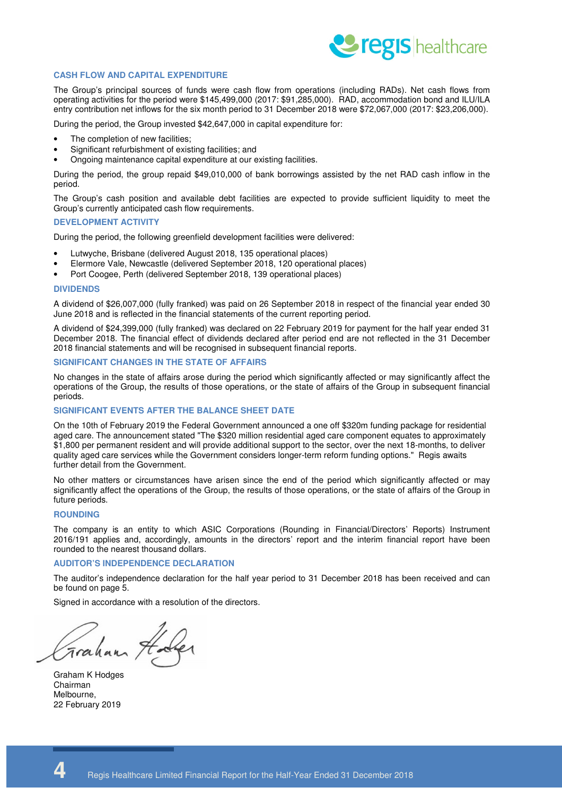

#### **CASH FLOW AND CAPITAL EXPENDITURE**

The Group's principal sources of funds were cash flow from operations (including RADs). Net cash flows from operating activities for the period were \$145,499,000 (2017: \$91,285,000). RAD, accommodation bond and ILU/ILA entry contribution net inflows for the six month period to 31 December 2018 were \$72,067,000 (2017: \$23,206,000).

During the period, the Group invested \$42,647,000 in capital expenditure for:

- The completion of new facilities;
- Significant refurbishment of existing facilities; and
- Ongoing maintenance capital expenditure at our existing facilities.

During the period, the group repaid \$49,010,000 of bank borrowings assisted by the net RAD cash inflow in the period.

The Group's cash position and available debt facilities are expected to provide sufficient liquidity to meet the Group's currently anticipated cash flow requirements.

#### **DEVELOPMENT ACTIVITY**

During the period, the following greenfield development facilities were delivered:

- Lutwyche, Brisbane (delivered August 2018, 135 operational places)
- Elermore Vale, Newcastle (delivered September 2018, 120 operational places)
- Port Coogee, Perth (delivered September 2018, 139 operational places)

#### **DIVIDENDS**

A dividend of \$26,007,000 (fully franked) was paid on 26 September 2018 in respect of the financial year ended 30 June 2018 and is reflected in the financial statements of the current reporting period.

A dividend of \$24,399,000 (fully franked) was declared on 22 February 2019 for payment for the half year ended 31 December 2018. The financial effect of dividends declared after period end are not reflected in the 31 December 2018 financial statements and will be recognised in subsequent financial reports.

#### **SIGNIFICANT CHANGES IN THE STATE OF AFFAIRS**

No changes in the state of affairs arose during the period which significantly affected or may significantly affect the operations of the Group, the results of those operations, or the state of affairs of the Group in subsequent financial periods.

#### **SIGNIFICANT EVENTS AFTER THE BALANCE SHEET DATE**

On the 10th of February 2019 the Federal Government announced a one off \$320m funding package for residential aged care. The announcement stated "The \$320 million residential aged care component equates to approximately \$1,800 per permanent resident and will provide additional support to the sector, over the next 18-months, to deliver quality aged care services while the Government considers longer-term reform funding options." Regis awaits further detail from the Government.

No other matters or circumstances have arisen since the end of the period which significantly affected or may significantly affect the operations of the Group, the results of those operations, or the state of affairs of the Group in future periods.

#### **ROUNDING**

The company is an entity to which ASIC Corporations (Rounding in Financial/Directors' Reports) Instrument 2016/191 applies and, accordingly, amounts in the directors' report and the interim financial report have been rounded to the nearest thousand dollars.

#### **AUDITOR'S INDEPENDENCE DECLARATION**

The auditor's independence declaration for the half year period to 31 December 2018 has been received and can be found on page 5.

Signed in accordance with a resolution of the directors.

Graham K Hodges Chairman Melbourne, 22 February 2019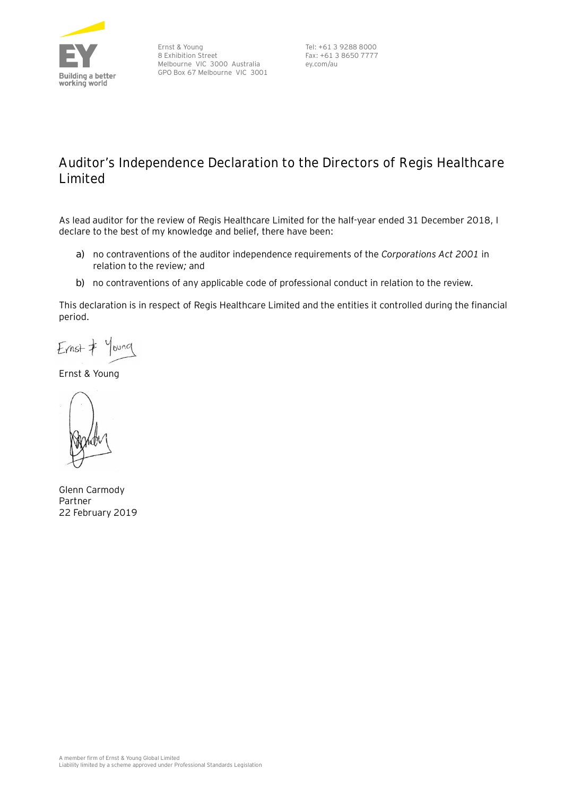

Ernst & Young 8 Exhibition Street Melbourne VIC 3000 Australia GPO Box 67 Melbourne VIC 3001

Tel: +61 3 9288 8000 Fax: +61 3 8650 7777 ey.com/au

### **Auditor's Independence Declaration to the Directors of Regis Healthcare Limited**

As lead auditor for the review of Regis Healthcare Limited for the half-year ended 31 December 2018, I declare to the best of my knowledge and belief, there have been:

- a) no contraventions of the auditor independence requirements of the *Corporations Act 2001* in relation to the review*;* and
- b) no contraventions of any applicable code of professional conduct in relation to the review.

This declaration is in respect of Regis Healthcare Limited and the entities it controlled during the financial period.

Ernst & Young

Ernst & Young

Glenn Carmody Partner 22 February 2019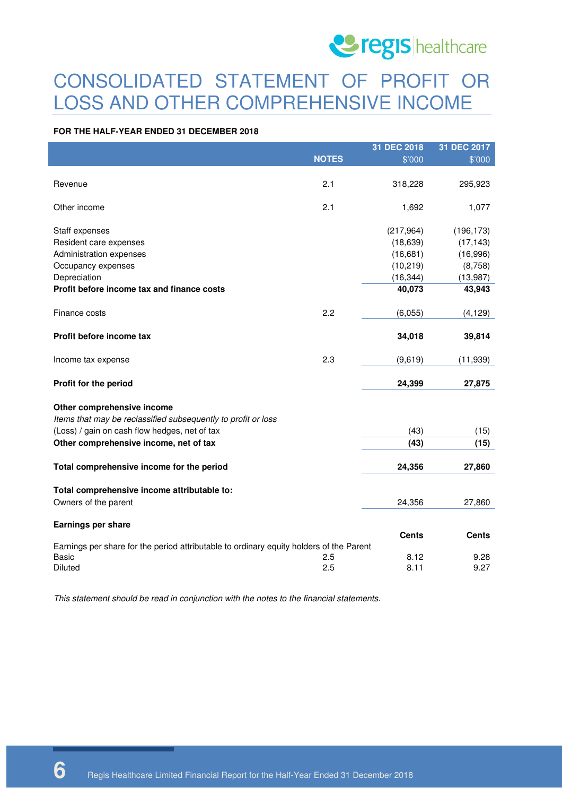

# CONSOLIDATED STATEMENT OF PROFIT OR LOSS AND OTHER COMPREHENSIVE INCOME

#### **FOR THE HALF-YEAR ENDED 31 DECEMBER 2018**

|                                                                                         |              | 31 DEC 2018  | 31 DEC 2017  |
|-----------------------------------------------------------------------------------------|--------------|--------------|--------------|
|                                                                                         | <b>NOTES</b> | \$'000       | \$'000       |
|                                                                                         |              |              |              |
| Revenue                                                                                 | 2.1          | 318,228      | 295,923      |
| Other income                                                                            | 2.1          | 1,692        | 1,077        |
|                                                                                         |              |              |              |
| Staff expenses                                                                          |              | (217, 964)   | (196, 173)   |
| Resident care expenses                                                                  |              | (18, 639)    | (17, 143)    |
| Administration expenses                                                                 |              | (16,681)     | (16,996)     |
| Occupancy expenses                                                                      |              | (10, 219)    | (8,758)      |
| Depreciation                                                                            |              | (16, 344)    | (13,987)     |
| Profit before income tax and finance costs                                              |              | 40,073       | 43,943       |
| Finance costs                                                                           | 2.2          | (6,055)      | (4, 129)     |
|                                                                                         |              |              |              |
| Profit before income tax                                                                |              | 34,018       | 39,814       |
| Income tax expense                                                                      | 2.3          | (9,619)      | (11, 939)    |
| Profit for the period                                                                   |              | 24,399       | 27,875       |
| Other comprehensive income                                                              |              |              |              |
| Items that may be reclassified subsequently to profit or loss                           |              |              |              |
| (Loss) / gain on cash flow hedges, net of tax                                           |              | (43)         | (15)         |
|                                                                                         |              | (43)         |              |
| Other comprehensive income, net of tax                                                  |              |              | (15)         |
| Total comprehensive income for the period                                               |              | 24,356       | 27,860       |
| Total comprehensive income attributable to:                                             |              |              |              |
| Owners of the parent                                                                    |              | 24,356       | 27,860       |
|                                                                                         |              |              |              |
| Earnings per share                                                                      |              |              |              |
| Earnings per share for the period attributable to ordinary equity holders of the Parent |              | <b>Cents</b> | <b>Cents</b> |
| <b>Basic</b>                                                                            | 2.5          | 8.12         | 9.28         |
| Diluted                                                                                 | 2.5          | 8.11         | 9.27         |
|                                                                                         |              |              |              |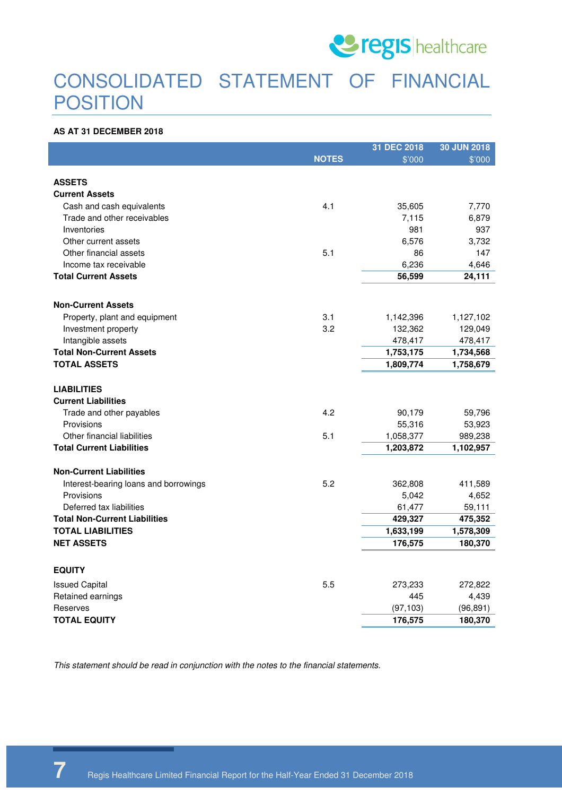

# CONSOLIDATED STATEMENT OF FINANCIAL **POSITION**

#### **AS AT 31 DECEMBER 2018**

|                                       |              | 31 DEC 2018 | 30 JUN 2018 |
|---------------------------------------|--------------|-------------|-------------|
|                                       | <b>NOTES</b> | \$'000      | \$'000      |
|                                       |              |             |             |
| <b>ASSETS</b>                         |              |             |             |
| <b>Current Assets</b>                 |              |             |             |
| Cash and cash equivalents             | 4.1          | 35,605      | 7,770       |
| Trade and other receivables           |              | 7,115       | 6,879       |
| Inventories                           |              | 981         | 937         |
| Other current assets                  |              | 6,576       | 3,732       |
| Other financial assets                | 5.1          | 86          | 147         |
| Income tax receivable                 |              | 6,236       | 4,646       |
| <b>Total Current Assets</b>           |              | 56,599      | 24,111      |
| <b>Non-Current Assets</b>             |              |             |             |
| Property, plant and equipment         | 3.1          | 1,142,396   | 1,127,102   |
| Investment property                   | 3.2          | 132,362     | 129,049     |
| Intangible assets                     |              | 478,417     | 478,417     |
| <b>Total Non-Current Assets</b>       |              | 1,753,175   | 1,734,568   |
| <b>TOTAL ASSETS</b>                   |              | 1,809,774   | 1,758,679   |
| <b>LIABILITIES</b>                    |              |             |             |
| <b>Current Liabilities</b>            |              |             |             |
| Trade and other payables              | 4.2          | 90,179      | 59,796      |
| Provisions                            |              | 55,316      | 53,923      |
| Other financial liabilities           | 5.1          | 1,058,377   | 989,238     |
| <b>Total Current Liabilities</b>      |              | 1,203,872   | 1,102,957   |
| <b>Non-Current Liabilities</b>        |              |             |             |
| Interest-bearing loans and borrowings | 5.2          | 362,808     | 411,589     |
| Provisions                            |              | 5,042       | 4,652       |
| Deferred tax liabilities              |              | 61,477      | 59,111      |
| <b>Total Non-Current Liabilities</b>  |              | 429,327     | 475,352     |
| <b>TOTAL LIABILITIES</b>              |              | 1,633,199   | 1,578,309   |
| <b>NET ASSETS</b>                     |              | 176,575     | 180,370     |
|                                       |              |             |             |
| <b>EQUITY</b>                         |              |             |             |
| <b>Issued Capital</b>                 | 5.5          | 273,233     | 272,822     |
| Retained earnings                     |              | 445         | 4,439       |
| Reserves                              |              | (97, 103)   | (96, 891)   |
| TOTAL EQUITY                          |              | 176,575     | 180,370     |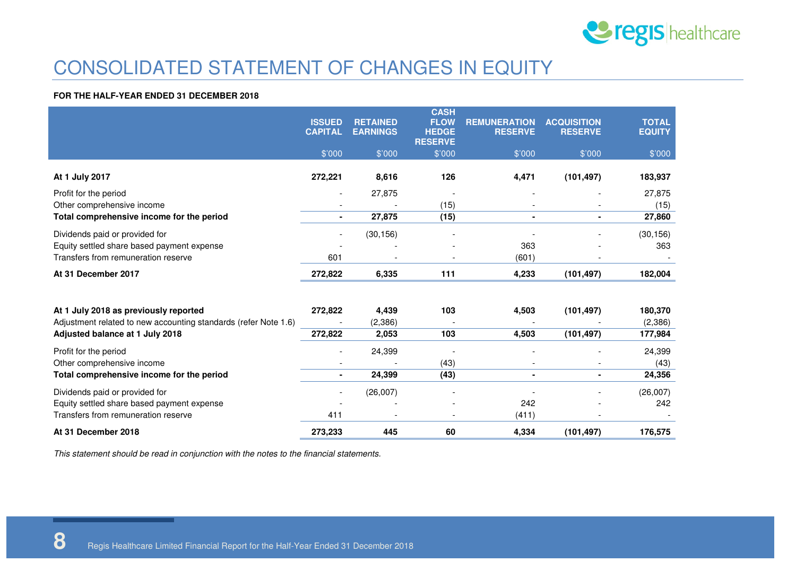

# CONSOLIDATED STATEMENT OF CHANGES IN EQUITY

#### **FOR THE HALF-YEAR ENDED 31 DECEMBER 2018**

|                                                                 | <b>ISSUED</b><br><b>CAPITAL</b> | <b>RETAINED</b><br><b>EARNINGS</b> | <b>CASH</b><br><b>FLOW</b><br><b>HEDGE</b><br><b>RESERVE</b> | <b>REMUNERATION</b><br><b>RESERVE</b> | <b>ACQUISITION</b><br><b>RESERVE</b> | <b>TOTAL</b><br><b>EQUITY</b> |
|-----------------------------------------------------------------|---------------------------------|------------------------------------|--------------------------------------------------------------|---------------------------------------|--------------------------------------|-------------------------------|
|                                                                 | \$'000                          | \$'000                             | \$'000                                                       | \$'000                                | \$'000                               | \$'000                        |
|                                                                 |                                 |                                    |                                                              |                                       |                                      |                               |
| At 1 July 2017                                                  | 272,221                         | 8,616                              | 126                                                          | 4,471                                 | (101, 497)                           | 183,937                       |
| Profit for the period                                           |                                 | 27,875                             |                                                              |                                       |                                      | 27,875                        |
| Other comprehensive income                                      |                                 |                                    | (15)                                                         |                                       |                                      | (15)                          |
| Total comprehensive income for the period                       |                                 | 27,875                             | (15)                                                         |                                       | $\blacksquare$                       | 27,860                        |
| Dividends paid or provided for                                  |                                 | (30, 156)                          |                                                              |                                       |                                      | (30, 156)                     |
| Equity settled share based payment expense                      |                                 |                                    |                                                              | 363                                   |                                      | 363                           |
| Transfers from remuneration reserve                             | 601                             |                                    |                                                              | (601)                                 |                                      |                               |
| At 31 December 2017                                             | 272,822                         | 6,335                              | 111                                                          | 4,233                                 | (101, 497)                           | 182,004                       |
|                                                                 |                                 |                                    |                                                              |                                       |                                      |                               |
| At 1 July 2018 as previously reported                           | 272,822                         | 4,439                              | 103                                                          | 4,503                                 | (101, 497)                           | 180,370                       |
| Adjustment related to new accounting standards (refer Note 1.6) |                                 | (2,386)                            |                                                              |                                       |                                      | (2,386)                       |
| Adjusted balance at 1 July 2018                                 | 272,822                         | 2,053                              | 103                                                          | 4,503                                 | (101, 497)                           | 177,984                       |
| Profit for the period                                           | $\overline{\phantom{a}}$        | 24,399                             |                                                              |                                       |                                      | 24,399                        |
| Other comprehensive income                                      |                                 |                                    | (43)                                                         |                                       |                                      | (43)                          |
| Total comprehensive income for the period                       |                                 | 24,399                             | (43)                                                         | $\blacksquare$                        | $\blacksquare$                       | 24,356                        |
| Dividends paid or provided for                                  |                                 | (26,007)                           |                                                              |                                       |                                      | (26,007)                      |
| Equity settled share based payment expense                      |                                 |                                    |                                                              | 242                                   |                                      | 242                           |
| Transfers from remuneration reserve                             | 411                             |                                    |                                                              | (411)                                 |                                      |                               |
| At 31 December 2018                                             | 273,233                         | 445                                | 60                                                           | 4,334                                 | (101, 497)                           | 176,575                       |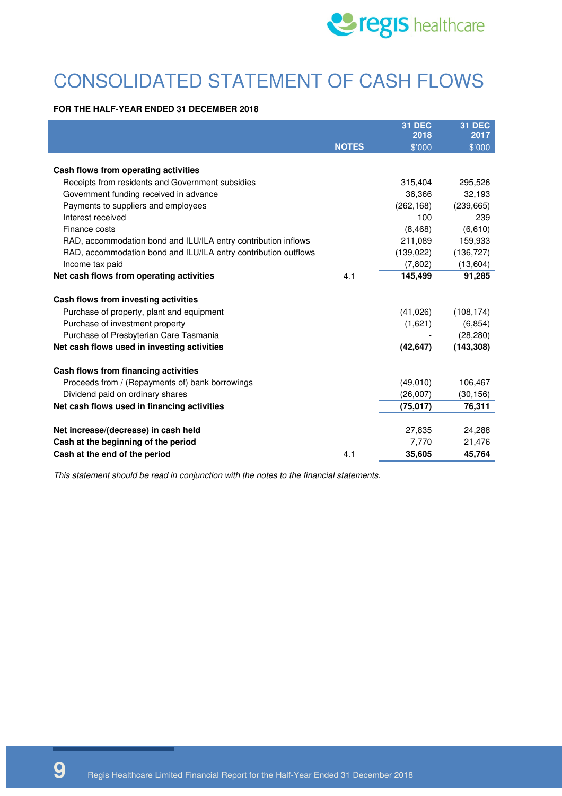

# CONSOLIDATED STATEMENT OF CASH FLOWS

### **FOR THE HALF-YEAR ENDED 31 DECEMBER 2018**

|                                                                             |              | <b>31 DEC</b><br>2018 | <b>31 DEC</b><br>2017 |
|-----------------------------------------------------------------------------|--------------|-----------------------|-----------------------|
|                                                                             | <b>NOTES</b> | \$'000                | \$'000                |
|                                                                             |              |                       |                       |
| Cash flows from operating activities                                        |              |                       |                       |
| Receipts from residents and Government subsidies                            |              | 315,404               | 295,526               |
| Government funding received in advance                                      |              | 36,366                | 32,193                |
| Payments to suppliers and employees                                         |              | (262, 168)            | (239, 665)            |
| Interest received                                                           |              | 100                   | 239                   |
| Finance costs                                                               |              | (8, 468)              | (6,610)               |
| RAD, accommodation bond and ILU/ILA entry contribution inflows              |              | 211,089               | 159,933               |
| RAD, accommodation bond and ILU/ILA entry contribution outflows             |              | (139, 022)            | (136, 727)            |
| Income tax paid                                                             |              | (7,802)               | (13,604)              |
| Net cash flows from operating activities                                    | 4.1          | 145,499               | 91,285                |
| Cash flows from investing activities                                        |              |                       |                       |
| Purchase of property, plant and equipment                                   |              | (41,026)              | (108, 174)            |
| Purchase of investment property                                             |              | (1,621)               | (6, 854)              |
| Purchase of Presbyterian Care Tasmania                                      |              |                       | (28, 280)             |
| Net cash flows used in investing activities                                 |              | (42, 647)             | (143, 308)            |
| Cash flows from financing activities                                        |              |                       |                       |
| Proceeds from / (Repayments of) bank borrowings                             |              | (49,010)              | 106,467               |
| Dividend paid on ordinary shares                                            |              | (26,007)              | (30, 156)             |
| Net cash flows used in financing activities                                 |              | (75, 017)             | 76,311                |
|                                                                             |              |                       |                       |
| Net increase/(decrease) in cash held<br>Cash at the beginning of the period |              | 27,835                | 24,288                |
|                                                                             |              | 7,770                 | 21,476                |
| Cash at the end of the period                                               | 4.1          | 35,605                | 45,764                |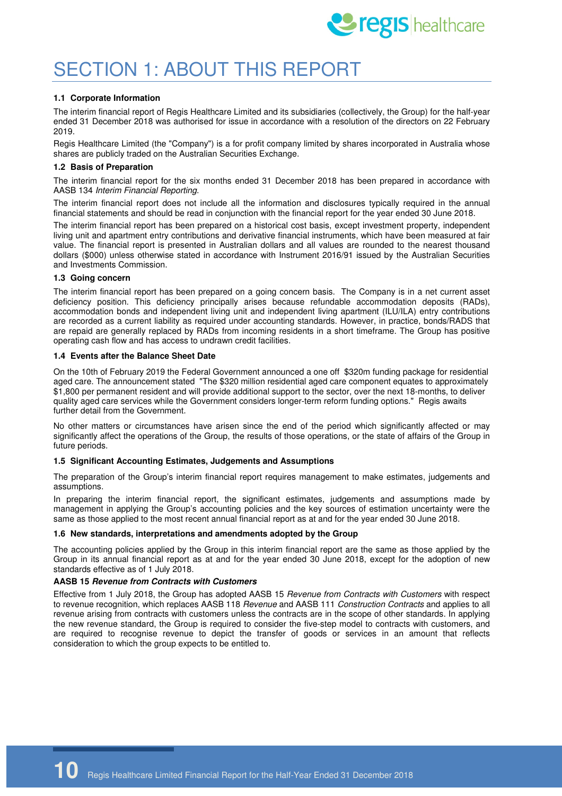

# SECTION 1: ABOUT THIS REPORT

#### **1.1 Corporate Information**

The interim financial report of Regis Healthcare Limited and its subsidiaries (collectively, the Group) for the half-year ended 31 December 2018 was authorised for issue in accordance with a resolution of the directors on 22 February 2019.

Regis Healthcare Limited (the "Company") is a for profit company limited by shares incorporated in Australia whose shares are publicly traded on the Australian Securities Exchange.

#### **1.2 Basis of Preparation**

The interim financial report for the six months ended 31 December 2018 has been prepared in accordance with AASB 134 Interim Financial Reporting.

The interim financial report does not include all the information and disclosures typically required in the annual financial statements and should be read in conjunction with the financial report for the year ended 30 June 2018.

The interim financial report has been prepared on a historical cost basis, except investment property, independent living unit and apartment entry contributions and derivative financial instruments, which have been measured at fair value. The financial report is presented in Australian dollars and all values are rounded to the nearest thousand dollars (\$000) unless otherwise stated in accordance with Instrument 2016/91 issued by the Australian Securities and Investments Commission.

#### **1.3 Going concern**

The interim financial report has been prepared on a going concern basis. The Company is in a net current asset deficiency position. This deficiency principally arises because refundable accommodation deposits (RADs), accommodation bonds and independent living unit and independent living apartment (ILU/ILA) entry contributions are recorded as a current liability as required under accounting standards. However, in practice, bonds/RADS that are repaid are generally replaced by RADs from incoming residents in a short timeframe. The Group has positive operating cash flow and has access to undrawn credit facilities.

#### **1.4 Events after the Balance Sheet Date**

On the 10th of February 2019 the Federal Government announced a one off \$320m funding package for residential aged care. The announcement stated "The \$320 million residential aged care component equates to approximately \$1,800 per permanent resident and will provide additional support to the sector, over the next 18-months, to deliver quality aged care services while the Government considers longer-term reform funding options." Regis awaits further detail from the Government.

No other matters or circumstances have arisen since the end of the period which significantly affected or may significantly affect the operations of the Group, the results of those operations, or the state of affairs of the Group in future periods.

#### **1.5 Significant Accounting Estimates, Judgements and Assumptions**

The preparation of the Group's interim financial report requires management to make estimates, judgements and assumptions.

In preparing the interim financial report, the significant estimates, judgements and assumptions made by management in applying the Group's accounting policies and the key sources of estimation uncertainty were the same as those applied to the most recent annual financial report as at and for the year ended 30 June 2018.

#### **1.6 New standards, interpretations and amendments adopted by the Group**

The accounting policies applied by the Group in this interim financial report are the same as those applied by the Group in its annual financial report as at and for the year ended 30 June 2018, except for the adoption of new standards effective as of 1 July 2018.

#### **AASB 15 Revenue from Contracts with Customers**

Effective from 1 July 2018, the Group has adopted AASB 15 Revenue from Contracts with Customers with respect to revenue recognition, which replaces AASB 118 Revenue and AASB 111 Construction Contracts and applies to all revenue arising from contracts with customers unless the contracts are in the scope of other standards. In applying the new revenue standard, the Group is required to consider the five-step model to contracts with customers, and are required to recognise revenue to depict the transfer of goods or services in an amount that reflects consideration to which the group expects to be entitled to.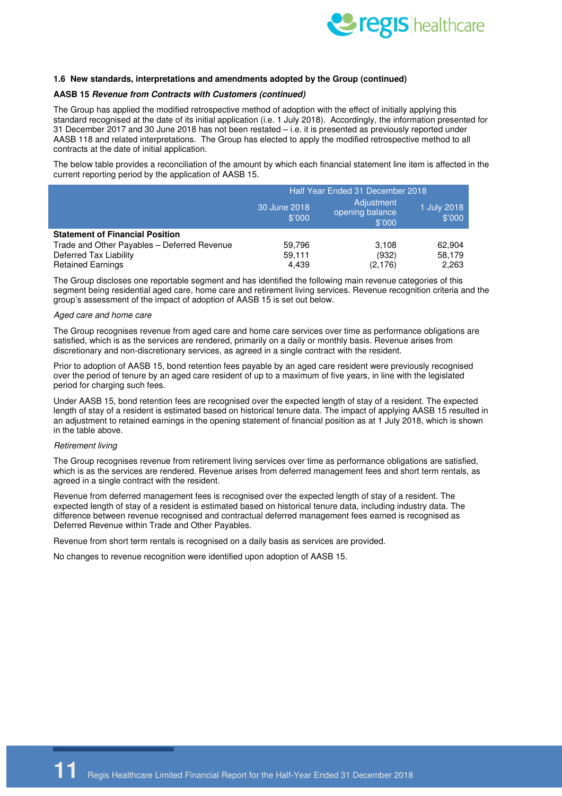

#### **AASB 15 Revenue from Contracts with Customers (continued)**

The Group has applied the modified retrospective method of adoption with the effect of initially applying this standard recognised at the date of its initial application (i.e. 1 July 2018). Accordingly, the information presented for 31 December 2017 and 30 June 2018 has not been restated – i.e. it is presented as previously reported under AASB 118 and related interpretations. The Group has elected to apply the modified retrospective method to all contracts at the date of initial application.

The below table provides a reconciliation of the amount by which each financial statement line item is affected in the current reporting period by the application of AASB 15.

|                                             | Half Year Ended 31 December 2018                                                           |          |        |  |  |
|---------------------------------------------|--------------------------------------------------------------------------------------------|----------|--------|--|--|
|                                             | Adjustment<br>1 July 2018<br>30 June 2018<br>opening balance<br>\$'000<br>\$'000<br>\$'000 |          |        |  |  |
| <b>Statement of Financial Position</b>      |                                                                                            |          |        |  |  |
| Trade and Other Payables - Deferred Revenue | 59.796                                                                                     | 3.108    | 62.904 |  |  |
| Deferred Tax Liability                      | 59,111                                                                                     | (932)    | 58,179 |  |  |
| <b>Retained Earnings</b>                    | 4.439                                                                                      | (2, 176) | 2,263  |  |  |

The Group discloses one reportable segment and has identified the following main revenue categories of this segment being residential aged care, home care and retirement living services. Revenue recognition criteria and the group's assessment of the impact of adoption of AASB 15 is set out below.

#### Aged care and home care

The Group recognises revenue from aged care and home care services over time as performance obligations are satisfied, which is as the services are rendered, primarily on a daily or monthly basis. Revenue arises from discretionary and non-discretionary services, as agreed in a single contract with the resident.

Prior to adoption of AASB 15, bond retention fees payable by an aged care resident were previously recognised over the period of tenure by an aged care resident of up to a maximum of five years, in line with the legislated period for charging such fees.

Under AASB 15, bond retention fees are recognised over the expected length of stay of a resident. The expected length of stay of a resident is estimated based on historical tenure data. The impact of applying AASB 15 resulted in an adjustment to retained earnings in the opening statement of financial position as at 1 July 2018, which is shown in the table above.

#### Retirement living

The Group recognises revenue from retirement living services over time as performance obligations are satisfied, which is as the services are rendered. Revenue arises from deferred management fees and short term rentals, as agreed in a single contract with the resident.

Revenue from deferred management fees is recognised over the expected length of stay of a resident. The expected length of stay of a resident is estimated based on historical tenure data, including industry data. The difference between revenue recognised and contractual deferred management fees earned is recognised as Deferred Revenue within Trade and Other Payables.

Revenue from short term rentals is recognised on a daily basis as services are provided.

No changes to revenue recognition were identified upon adoption of AASB 15.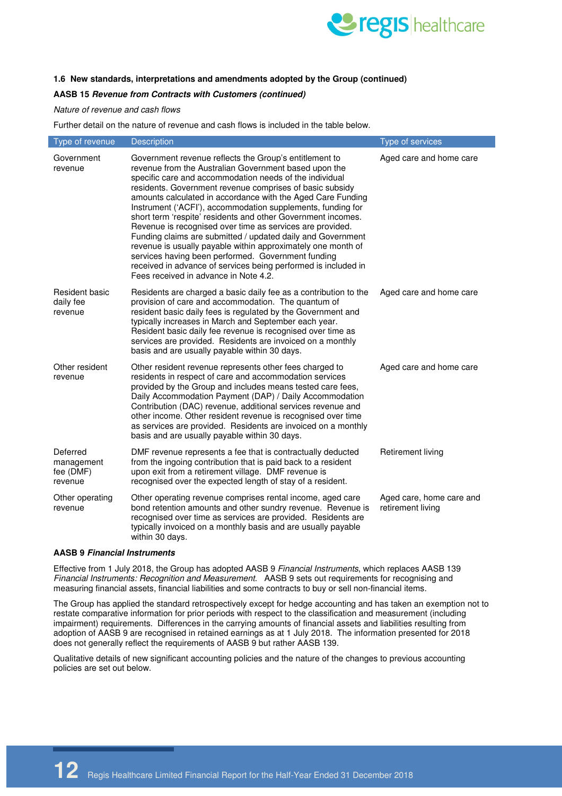

#### **AASB 15 Revenue from Contracts with Customers (continued)**

#### Nature of revenue and cash flows

Further detail on the nature of revenue and cash flows is included in the table below.

| Type of revenue                                | <b>Description</b>                                                                                                                                                                                                                                                                                                                                                                                                                                                                                                                                                                                                                                                                                                                                                                                | Type of services                              |
|------------------------------------------------|---------------------------------------------------------------------------------------------------------------------------------------------------------------------------------------------------------------------------------------------------------------------------------------------------------------------------------------------------------------------------------------------------------------------------------------------------------------------------------------------------------------------------------------------------------------------------------------------------------------------------------------------------------------------------------------------------------------------------------------------------------------------------------------------------|-----------------------------------------------|
| Government<br>revenue                          | Government revenue reflects the Group's entitlement to<br>revenue from the Australian Government based upon the<br>specific care and accommodation needs of the individual<br>residents. Government revenue comprises of basic subsidy<br>amounts calculated in accordance with the Aged Care Funding<br>Instrument ('ACFI'), accommodation supplements, funding for<br>short term 'respite' residents and other Government incomes.<br>Revenue is recognised over time as services are provided.<br>Funding claims are submitted / updated daily and Government<br>revenue is usually payable within approximately one month of<br>services having been performed. Government funding<br>received in advance of services being performed is included in<br>Fees received in advance in Note 4.2. | Aged care and home care                       |
| Resident basic<br>daily fee<br>revenue         | Residents are charged a basic daily fee as a contribution to the<br>provision of care and accommodation. The quantum of<br>resident basic daily fees is regulated by the Government and<br>typically increases in March and September each year.<br>Resident basic daily fee revenue is recognised over time as<br>services are provided. Residents are invoiced on a monthly<br>basis and are usually payable within 30 days.                                                                                                                                                                                                                                                                                                                                                                    | Aged care and home care                       |
| Other resident<br>revenue                      | Other resident revenue represents other fees charged to<br>residents in respect of care and accommodation services<br>provided by the Group and includes means tested care fees,<br>Daily Accommodation Payment (DAP) / Daily Accommodation<br>Contribution (DAC) revenue, additional services revenue and<br>other income. Other resident revenue is recognised over time<br>as services are provided. Residents are invoiced on a monthly<br>basis and are usually payable within 30 days.                                                                                                                                                                                                                                                                                                      | Aged care and home care                       |
| Deferred<br>management<br>fee (DMF)<br>revenue | DMF revenue represents a fee that is contractually deducted<br>from the ingoing contribution that is paid back to a resident<br>upon exit from a retirement village. DMF revenue is<br>recognised over the expected length of stay of a resident.                                                                                                                                                                                                                                                                                                                                                                                                                                                                                                                                                 | Retirement living                             |
| Other operating<br>revenue                     | Other operating revenue comprises rental income, aged care<br>bond retention amounts and other sundry revenue. Revenue is<br>recognised over time as services are provided. Residents are<br>typically invoiced on a monthly basis and are usually payable<br>within 30 days.                                                                                                                                                                                                                                                                                                                                                                                                                                                                                                                     | Aged care, home care and<br>retirement living |

#### **AASB 9 Financial Instruments**

Effective from 1 July 2018, the Group has adopted AASB 9 Financial Instruments, which replaces AASB 139 Financial Instruments: Recognition and Measurement. AASB 9 sets out requirements for recognising and measuring financial assets, financial liabilities and some contracts to buy or sell non-financial items.

The Group has applied the standard retrospectively except for hedge accounting and has taken an exemption not to restate comparative information for prior periods with respect to the classification and measurement (including impairment) requirements. Differences in the carrying amounts of financial assets and liabilities resulting from adoption of AASB 9 are recognised in retained earnings as at 1 July 2018. The information presented for 2018 does not generally reflect the requirements of AASB 9 but rather AASB 139.

Qualitative details of new significant accounting policies and the nature of the changes to previous accounting policies are set out below.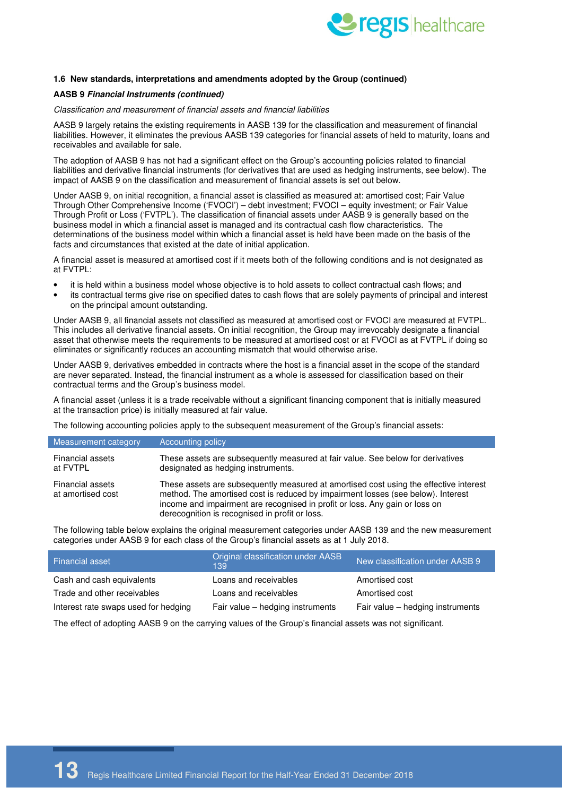

#### **AASB 9 Financial Instruments (continued)**

#### Classification and measurement of financial assets and financial liabilities

AASB 9 largely retains the existing requirements in AASB 139 for the classification and measurement of financial liabilities. However, it eliminates the previous AASB 139 categories for financial assets of held to maturity, loans and receivables and available for sale.

The adoption of AASB 9 has not had a significant effect on the Group's accounting policies related to financial liabilities and derivative financial instruments (for derivatives that are used as hedging instruments, see below). The impact of AASB 9 on the classification and measurement of financial assets is set out below.

Under AASB 9, on initial recognition, a financial asset is classified as measured at: amortised cost; Fair Value Through Other Comprehensive Income ('FVOCI') – debt investment; FVOCI – equity investment; or Fair Value Through Profit or Loss ('FVTPL'). The classification of financial assets under AASB 9 is generally based on the business model in which a financial asset is managed and its contractual cash flow characteristics. The determinations of the business model within which a financial asset is held have been made on the basis of the facts and circumstances that existed at the date of initial application.

A financial asset is measured at amortised cost if it meets both of the following conditions and is not designated as at FVTPL:

- it is held within a business model whose objective is to hold assets to collect contractual cash flows; and
- its contractual terms give rise on specified dates to cash flows that are solely payments of principal and interest on the principal amount outstanding.

Under AASB 9, all financial assets not classified as measured at amortised cost or FVOCI are measured at FVTPL. This includes all derivative financial assets. On initial recognition, the Group may irrevocably designate a financial asset that otherwise meets the requirements to be measured at amortised cost or at FVOCI as at FVTPL if doing so eliminates or significantly reduces an accounting mismatch that would otherwise arise.

Under AASB 9, derivatives embedded in contracts where the host is a financial asset in the scope of the standard are never separated. Instead, the financial instrument as a whole is assessed for classification based on their contractual terms and the Group's business model.

A financial asset (unless it is a trade receivable without a significant financing component that is initially measured at the transaction price) is initially measured at fair value.

The following accounting policies apply to the subsequent measurement of the Group's financial assets:

| Measurement category                         | Accounting policy                                                                                                                                                                                                                                                                                          |
|----------------------------------------------|------------------------------------------------------------------------------------------------------------------------------------------------------------------------------------------------------------------------------------------------------------------------------------------------------------|
| Financial assets<br>at FVTPL                 | These assets are subsequently measured at fair value. See below for derivatives<br>designated as hedging instruments.                                                                                                                                                                                      |
| <b>Financial assets</b><br>at amortised cost | These assets are subsequently measured at amortised cost using the effective interest<br>method. The amortised cost is reduced by impairment losses (see below). Interest<br>income and impairment are recognised in profit or loss. Any gain or loss on<br>derecognition is recognised in profit or loss. |

The following table below explains the original measurement categories under AASB 139 and the new measurement categories under AASB 9 for each class of the Group's financial assets as at 1 July 2018.

| <b>Financial asset</b>               | Original classification under AASB<br>139 | New classification under AASB 9  |
|--------------------------------------|-------------------------------------------|----------------------------------|
| Cash and cash equivalents            | Loans and receivables                     | Amortised cost                   |
| Trade and other receivables          | Loans and receivables                     | Amortised cost                   |
| Interest rate swaps used for hedging | Fair value – hedging instruments          | Fair value – hedging instruments |

The effect of adopting AASB 9 on the carrying values of the Group's financial assets was not significant.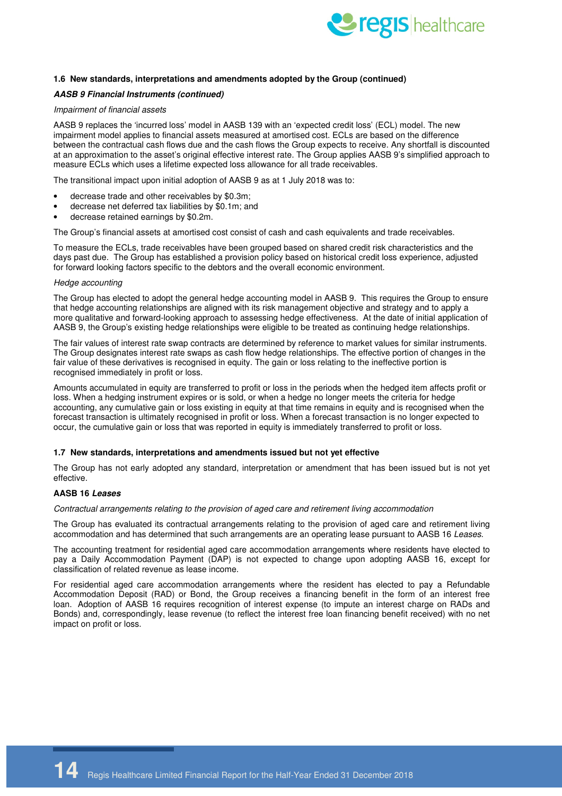

#### **AASB 9 Financial Instruments (continued)**

#### Impairment of financial assets

AASB 9 replaces the 'incurred loss' model in AASB 139 with an 'expected credit loss' (ECL) model. The new impairment model applies to financial assets measured at amortised cost. ECLs are based on the difference between the contractual cash flows due and the cash flows the Group expects to receive. Any shortfall is discounted at an approximation to the asset's original effective interest rate. The Group applies AASB 9's simplified approach to measure ECLs which uses a lifetime expected loss allowance for all trade receivables.

The transitional impact upon initial adoption of AASB 9 as at 1 July 2018 was to:

- decrease trade and other receivables by \$0.3m;
- decrease net deferred tax liabilities by \$0.1m; and
- decrease retained earnings by \$0.2m.

The Group's financial assets at amortised cost consist of cash and cash equivalents and trade receivables.

To measure the ECLs, trade receivables have been grouped based on shared credit risk characteristics and the days past due. The Group has established a provision policy based on historical credit loss experience, adjusted for forward looking factors specific to the debtors and the overall economic environment.

#### Hedge accounting

The Group has elected to adopt the general hedge accounting model in AASB 9. This requires the Group to ensure that hedge accounting relationships are aligned with its risk management objective and strategy and to apply a more qualitative and forward-looking approach to assessing hedge effectiveness. At the date of initial application of AASB 9, the Group's existing hedge relationships were eligible to be treated as continuing hedge relationships.

The fair values of interest rate swap contracts are determined by reference to market values for similar instruments. The Group designates interest rate swaps as cash flow hedge relationships. The effective portion of changes in the fair value of these derivatives is recognised in equity. The gain or loss relating to the ineffective portion is recognised immediately in profit or loss.

Amounts accumulated in equity are transferred to profit or loss in the periods when the hedged item affects profit or loss. When a hedging instrument expires or is sold, or when a hedge no longer meets the criteria for hedge accounting, any cumulative gain or loss existing in equity at that time remains in equity and is recognised when the forecast transaction is ultimately recognised in profit or loss. When a forecast transaction is no longer expected to occur, the cumulative gain or loss that was reported in equity is immediately transferred to profit or loss.

#### **1.7 New standards, interpretations and amendments issued but not yet effective**

The Group has not early adopted any standard, interpretation or amendment that has been issued but is not yet effective.

#### **AASB 16 Leases**

Contractual arrangements relating to the provision of aged care and retirement living accommodation

The Group has evaluated its contractual arrangements relating to the provision of aged care and retirement living accommodation and has determined that such arrangements are an operating lease pursuant to AASB 16 Leases.

The accounting treatment for residential aged care accommodation arrangements where residents have elected to pay a Daily Accommodation Payment (DAP) is not expected to change upon adopting AASB 16, except for classification of related revenue as lease income.

For residential aged care accommodation arrangements where the resident has elected to pay a Refundable Accommodation Deposit (RAD) or Bond, the Group receives a financing benefit in the form of an interest free loan. Adoption of AASB 16 requires recognition of interest expense (to impute an interest charge on RADs and Bonds) and, correspondingly, lease revenue (to reflect the interest free loan financing benefit received) with no net impact on profit or loss.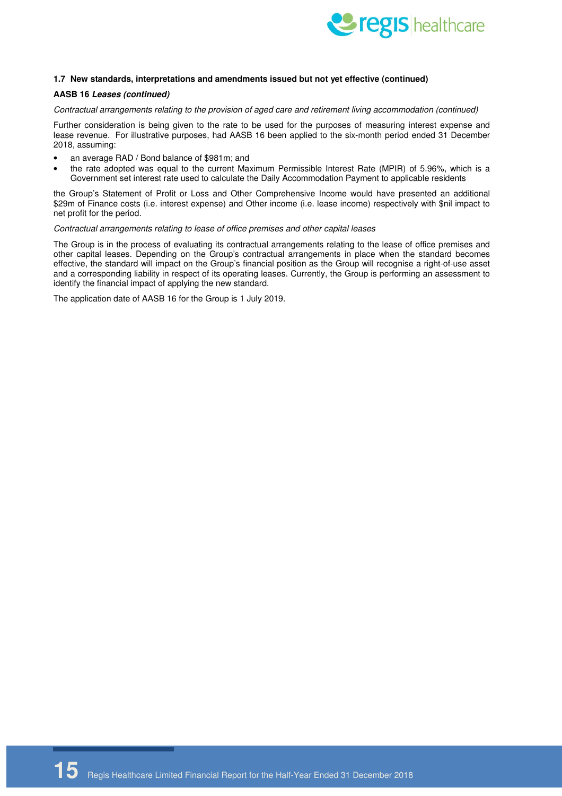

#### **1.7 New standards, interpretations and amendments issued but not yet effective (continued)**

#### **AASB 16 Leases (continued)**

#### Contractual arrangements relating to the provision of aged care and retirement living accommodation (continued)

Further consideration is being given to the rate to be used for the purposes of measuring interest expense and lease revenue. For illustrative purposes, had AASB 16 been applied to the six-month period ended 31 December 2018, assuming:

- an average RAD / Bond balance of \$981m; and
- the rate adopted was equal to the current Maximum Permissible Interest Rate (MPIR) of 5.96%, which is a Government set interest rate used to calculate the Daily Accommodation Payment to applicable residents

the Group's Statement of Profit or Loss and Other Comprehensive Income would have presented an additional \$29m of Finance costs (i.e. interest expense) and Other income (i.e. lease income) respectively with \$nil impact to net profit for the period.

#### Contractual arrangements relating to lease of office premises and other capital leases

The Group is in the process of evaluating its contractual arrangements relating to the lease of office premises and other capital leases. Depending on the Group's contractual arrangements in place when the standard becomes effective, the standard will impact on the Group's financial position as the Group will recognise a right-of-use asset and a corresponding liability in respect of its operating leases. Currently, the Group is performing an assessment to identify the financial impact of applying the new standard.

The application date of AASB 16 for the Group is 1 July 2019.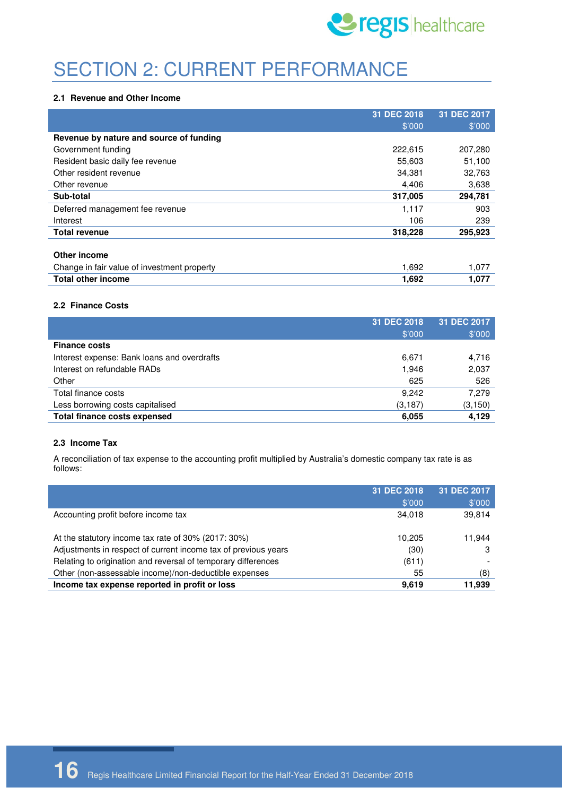

# SECTION 2: CURRENT PERFORMANCE

#### **2.1 Revenue and Other Income**

|                                             | 31 DEC 2018 | 31 DEC 2017 |
|---------------------------------------------|-------------|-------------|
|                                             | \$'000      | \$'000      |
| Revenue by nature and source of funding     |             |             |
| Government funding                          | 222,615     | 207,280     |
| Resident basic daily fee revenue            | 55,603      | 51,100      |
| Other resident revenue                      | 34,381      | 32,763      |
| Other revenue                               | 4.406       | 3,638       |
| Sub-total                                   | 317,005     | 294,781     |
| Deferred management fee revenue             | 1,117       | 903         |
| Interest                                    | 106         | 239         |
| <b>Total revenue</b>                        | 318,228     | 295,923     |
|                                             |             |             |
| Other income                                |             |             |
| Change in fair value of investment property | 1,692       | 1,077       |
| <b>Total other income</b>                   | 1,692       | 1,077       |

#### **2.2 Finance Costs**

|                                             | 31 DEC 2018 | 31 DEC 2017 |
|---------------------------------------------|-------------|-------------|
|                                             | \$'000      | \$'000      |
| <b>Finance costs</b>                        |             |             |
| Interest expense: Bank loans and overdrafts | 6,671       | 4,716       |
| Interest on refundable RADs                 | 1.946       | 2,037       |
| Other                                       | 625         | 526         |
| Total finance costs                         | 9.242       | 7,279       |
| Less borrowing costs capitalised            | (3, 187)    | (3, 150)    |
| <b>Total finance costs expensed</b>         | 6,055       | 4,129       |

#### **2.3 Income Tax**

A reconciliation of tax expense to the accounting profit multiplied by Australia's domestic company tax rate is as follows:

|                                                                | 31 DEC 2018 | 31 DEC 2017    |
|----------------------------------------------------------------|-------------|----------------|
|                                                                | \$'000      | $$^{\circ}000$ |
| Accounting profit before income tax                            | 34.018      | 39,814         |
| At the statutory income tax rate of 30% (2017: 30%)            | 10.205      | 11.944         |
| Adjustments in respect of current income tax of previous years | (30)        | 3              |
| Relating to origination and reversal of temporary differences  | (611)       |                |
| Other (non-assessable income)/non-deductible expenses          | 55          | (8)            |
| Income tax expense reported in profit or loss                  | 9.619       | 11,939         |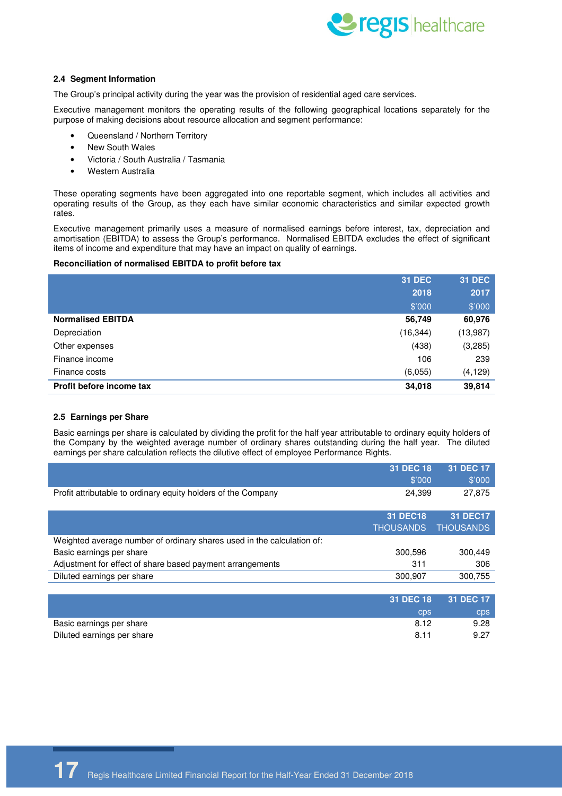

#### **2.4 Segment Information**

The Group's principal activity during the year was the provision of residential aged care services.

Executive management monitors the operating results of the following geographical locations separately for the purpose of making decisions about resource allocation and segment performance:

- Queensland / Northern Territory
- New South Wales
- Victoria / South Australia / Tasmania
- Western Australia

These operating segments have been aggregated into one reportable segment, which includes all activities and operating results of the Group, as they each have similar economic characteristics and similar expected growth rates.

Executive management primarily uses a measure of normalised earnings before interest, tax, depreciation and amortisation (EBITDA) to assess the Group's performance. Normalised EBITDA excludes the effect of significant items of income and expenditure that may have an impact on quality of earnings.

#### **Reconciliation of normalised EBITDA to profit before tax**

|                          | <b>31 DEC</b> | <b>31 DEC</b> |
|--------------------------|---------------|---------------|
|                          | 2018          | 2017          |
|                          | \$'000        | \$'000        |
| <b>Normalised EBITDA</b> | 56,749        | 60,976        |
| Depreciation             | (16, 344)     | (13,987)      |
| Other expenses           | (438)         | (3,285)       |
| Finance income           | 106           | 239           |
| Finance costs            | (6,055)       | (4, 129)      |
| Profit before income tax | 34,018        | 39,814        |

#### **2.5 Earnings per Share**

Basic earnings per share is calculated by dividing the profit for the half year attributable to ordinary equity holders of the Company by the weighted average number of ordinary shares outstanding during the half year. The diluted earnings per share calculation reflects the dilutive effect of employee Performance Rights.

|                                                                        | 31 DEC 18        | 31 DEC 17        |
|------------------------------------------------------------------------|------------------|------------------|
|                                                                        | \$'000           | \$'000           |
| Profit attributable to ordinary equity holders of the Company          | 24,399           | 27,875           |
|                                                                        | <b>31 DEC18</b>  | <b>31 DEC17</b>  |
|                                                                        | <b>THOUSANDS</b> | <b>THOUSANDS</b> |
| Weighted average number of ordinary shares used in the calculation of: |                  |                  |
| Basic earnings per share                                               | 300,596          | 300,449          |
| Adjustment for effect of share based payment arrangements              | 311              | 306              |
| Diluted earnings per share                                             | 300,907          | 300,755          |
|                                                                        |                  |                  |

|                            |            | 31 DEC 18 31 DEC 17 |
|----------------------------|------------|---------------------|
|                            | <b>CDS</b> | CDS                 |
| Basic earnings per share   | 8.12       | 9.28                |
| Diluted earnings per share | 8.11       | 9.27                |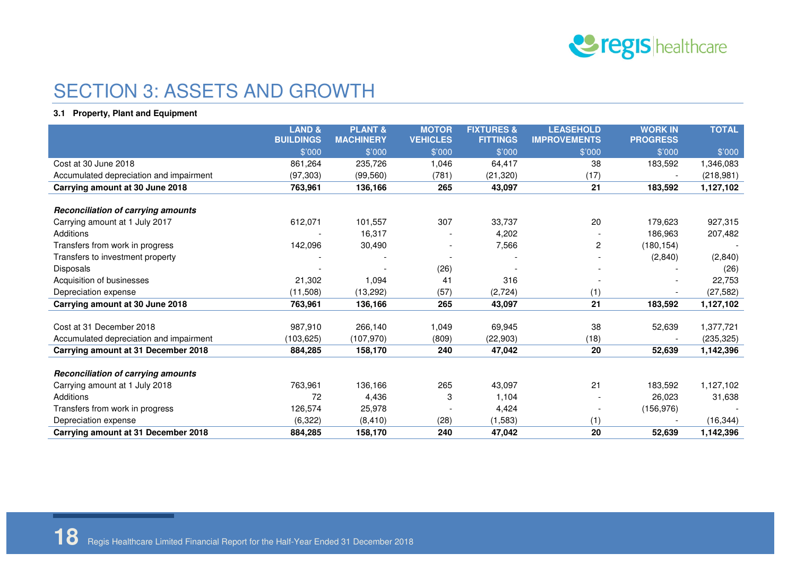

### SECTION 3: ASSETS AND GROWTH

### **3.1 Property, Plant and Equipment**

|                                           | <b>LAND &amp;</b><br><b>BUILDINGS</b> | <b>PLANT &amp;</b><br><b>MACHINERY</b> | <b>MOTOR</b><br><b>VEHICLES</b> | <b>FIXTURES &amp;</b><br><b>FITTINGS</b> | <b>LEASEHOLD</b><br><b>IMPROVEMENTS</b> | <b>WORK IN</b><br><b>PROGRESS</b> | <b>TOTAL</b> |
|-------------------------------------------|---------------------------------------|----------------------------------------|---------------------------------|------------------------------------------|-----------------------------------------|-----------------------------------|--------------|
|                                           | \$'000                                | \$'000                                 | \$'000                          | \$'000                                   | \$'000                                  | \$'000                            | \$'000       |
| Cost at 30 June 2018                      | 861,264                               | 235,726                                | 1,046                           | 64,417                                   | 38                                      | 183,592                           | 1,346,083    |
| Accumulated depreciation and impairment   | (97, 303)                             | (99, 560)                              | (781)                           | (21, 320)                                | (17)                                    |                                   | (218,981)    |
| Carrying amount at 30 June 2018           | 763,961                               | 136,166                                | 265                             | 43,097                                   | 21                                      | 183,592                           | 1,127,102    |
| <b>Reconciliation of carrying amounts</b> |                                       |                                        |                                 |                                          |                                         |                                   |              |
| Carrying amount at 1 July 2017            | 612,071                               | 101,557                                | 307                             | 33,737                                   | 20                                      | 179,623                           | 927,315      |
| Additions                                 |                                       | 16,317                                 |                                 | 4,202                                    |                                         | 186,963                           | 207,482      |
| Transfers from work in progress           | 142,096                               | 30,490                                 |                                 | 7,566                                    | $\overline{c}$                          | (180, 154)                        |              |
| Transfers to investment property          |                                       |                                        |                                 |                                          |                                         | (2,840)                           | (2,840)      |
| <b>Disposals</b>                          |                                       |                                        | (26)                            |                                          |                                         |                                   | (26)         |
| Acquisition of businesses                 | 21,302                                | 1,094                                  | 41                              | 316                                      |                                         |                                   | 22,753       |
| Depreciation expense                      | (11,508)                              | (13, 292)                              | (57)                            | (2, 724)                                 | (1)                                     |                                   | (27, 582)    |
| Carrying amount at 30 June 2018           | 763.961                               | 136,166                                | 265                             | 43,097                                   | 21                                      | 183,592                           | 1,127,102    |
| Cost at 31 December 2018                  | 987,910                               | 266,140                                | 1,049                           | 69,945                                   | 38                                      | 52,639                            | 1,377,721    |
| Accumulated depreciation and impairment   | (103, 625)                            | (107,970)                              | (809)                           | (22,903)                                 | (18)                                    |                                   | (235, 325)   |
| Carrying amount at 31 December 2018       | 884,285                               | 158,170                                | 240                             | 47,042                                   | 20                                      | 52,639                            | 1,142,396    |
| <b>Reconciliation of carrying amounts</b> |                                       |                                        |                                 |                                          |                                         |                                   |              |
| Carrying amount at 1 July 2018            | 763,961                               | 136,166                                | 265                             | 43,097                                   | 21                                      | 183,592                           | 1,127,102    |
| Additions                                 | 72                                    | 4,436                                  | 3                               | 1,104                                    |                                         | 26,023                            | 31,638       |
| Transfers from work in progress           | 126,574                               | 25,978                                 |                                 | 4,424                                    |                                         | (156, 976)                        |              |
| Depreciation expense                      | (6,322)                               | (8, 410)                               | (28)                            | (1,583)                                  | (1)                                     |                                   | (16, 344)    |
| Carrying amount at 31 December 2018       | 884,285                               | 158,170                                | 240                             | 47,042                                   | 20                                      | 52,639                            | 1,142,396    |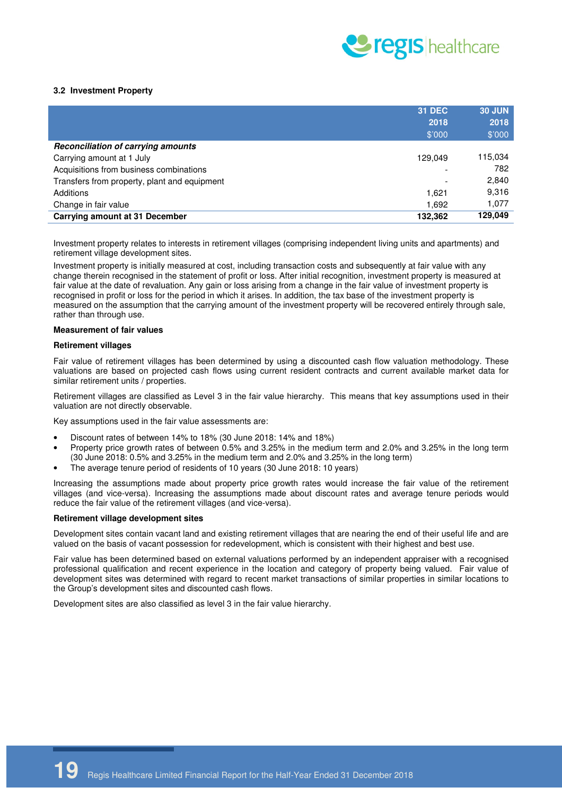

#### **3.2 Investment Property**

|                                              | <b>31 DEC</b><br>2018<br>\$'000 | <b>30 JUN</b><br>2018<br>\$'000 |
|----------------------------------------------|---------------------------------|---------------------------------|
| <b>Reconciliation of carrying amounts</b>    |                                 |                                 |
| Carrying amount at 1 July                    | 129.049                         | 115,034                         |
| Acquisitions from business combinations      |                                 | 782                             |
| Transfers from property, plant and equipment |                                 | 2,840                           |
| Additions                                    | 1.621                           | 9,316                           |
| Change in fair value                         | 1.692                           | 1,077                           |
| Carrying amount at 31 December               | 132.362                         | 129,049                         |

Investment property relates to interests in retirement villages (comprising independent living units and apartments) and retirement village development sites.

Investment property is initially measured at cost, including transaction costs and subsequently at fair value with any change therein recognised in the statement of profit or loss. After initial recognition, investment property is measured at fair value at the date of revaluation. Any gain or loss arising from a change in the fair value of investment property is recognised in profit or loss for the period in which it arises. In addition, the tax base of the investment property is measured on the assumption that the carrying amount of the investment property will be recovered entirely through sale, rather than through use.

#### **Measurement of fair values**

#### **Retirement villages**

Fair value of retirement villages has been determined by using a discounted cash flow valuation methodology. These valuations are based on projected cash flows using current resident contracts and current available market data for similar retirement units / properties.

Retirement villages are classified as Level 3 in the fair value hierarchy. This means that key assumptions used in their valuation are not directly observable.

Key assumptions used in the fair value assessments are:

- Discount rates of between 14% to 18% (30 June 2018: 14% and 18%)
- Property price growth rates of between 0.5% and 3.25% in the medium term and 2.0% and 3.25% in the long term (30 June 2018: 0.5% and 3.25% in the medium term and 2.0% and 3.25% in the long term)
- The average tenure period of residents of 10 years (30 June 2018: 10 years)

Increasing the assumptions made about property price growth rates would increase the fair value of the retirement villages (and vice-versa). Increasing the assumptions made about discount rates and average tenure periods would reduce the fair value of the retirement villages (and vice-versa).

#### **Retirement village development sites**

Development sites contain vacant land and existing retirement villages that are nearing the end of their useful life and are valued on the basis of vacant possession for redevelopment, which is consistent with their highest and best use.

Fair value has been determined based on external valuations performed by an independent appraiser with a recognised professional qualification and recent experience in the location and category of property being valued. Fair value of development sites was determined with regard to recent market transactions of similar properties in similar locations to the Group's development sites and discounted cash flows.

Development sites are also classified as level 3 in the fair value hierarchy.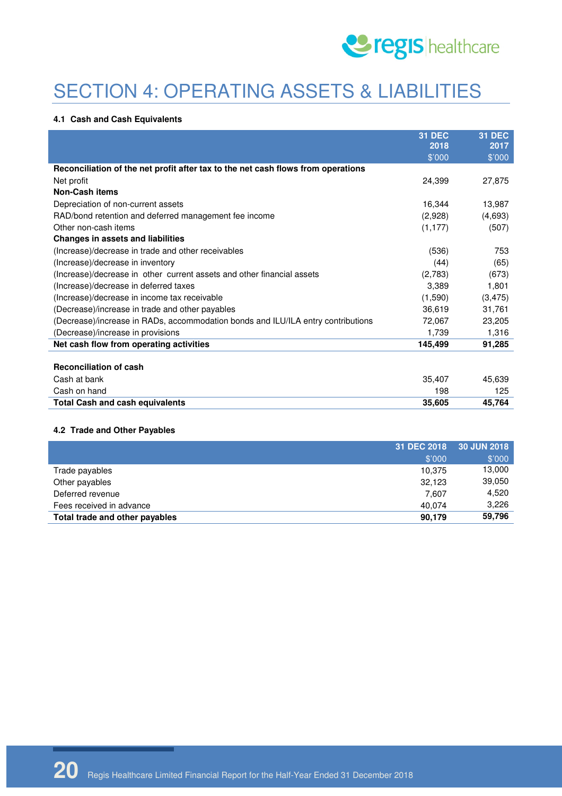

# SECTION 4: OPERATING ASSETS & LIABILITIES

#### **4.1 Cash and Cash Equivalents**

|                                                                                  | <b>31 DEC</b><br>2018 | <b>31 DEC</b><br>2017 |
|----------------------------------------------------------------------------------|-----------------------|-----------------------|
|                                                                                  | \$'000                | \$'000                |
| Reconciliation of the net profit after tax to the net cash flows from operations |                       |                       |
| Net profit                                                                       | 24,399                | 27,875                |
| <b>Non-Cash items</b>                                                            |                       |                       |
| Depreciation of non-current assets                                               | 16,344                | 13,987                |
| RAD/bond retention and deferred management fee income                            | (2,928)               | (4,693)               |
| Other non-cash items                                                             | (1, 177)              | (507)                 |
| <b>Changes in assets and liabilities</b>                                         |                       |                       |
| (Increase)/decrease in trade and other receivables                               | (536)                 | 753                   |
| (Increase)/decrease in inventory                                                 | (44)                  | (65)                  |
| (Increase)/decrease in other current assets and other financial assets           | (2,783)               | (673)                 |
| (Increase)/decrease in deferred taxes                                            | 3,389                 | 1,801                 |
| (Increase)/decrease in income tax receivable                                     | (1,590)               | (3, 475)              |
| (Decrease)/increase in trade and other payables                                  | 36,619                | 31,761                |
| (Decrease)/increase in RADs, accommodation bonds and ILU/ILA entry contributions | 72,067                | 23,205                |
| (Decrease)/increase in provisions                                                | 1,739                 | 1,316                 |
| Net cash flow from operating activities                                          | 145,499               | 91,285                |
|                                                                                  |                       |                       |
| <b>Reconciliation of cash</b>                                                    |                       |                       |
| Cash at bank                                                                     | 35,407                | 45,639                |
| Cash on hand                                                                     | 198                   | 125                   |
| <b>Total Cash and cash equivalents</b>                                           | 35,605                | 45,764                |
|                                                                                  |                       |                       |

### **4.2 Trade and Other Payables**

|                                |        | 31 DEC 2018 30 JUN 2018 |
|--------------------------------|--------|-------------------------|
|                                | \$'000 | \$'000                  |
| Trade payables                 | 10.375 | 13,000                  |
| Other payables                 | 32,123 | 39,050                  |
| Deferred revenue               | 7,607  | 4,520                   |
| Fees received in advance       | 40.074 | 3.226                   |
| Total trade and other payables | 90,179 | 59,796                  |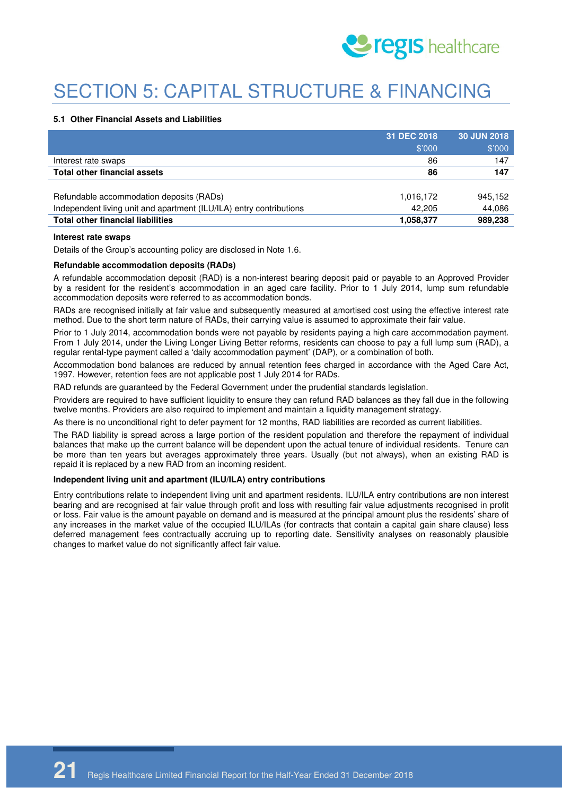

# SECTION 5: CAPITAL STRUCTURE & FINANCING

#### **5.1 Other Financial Assets and Liabilities**

|                                                                     | 31 DEC 2018 | 30 JUN 2018 |
|---------------------------------------------------------------------|-------------|-------------|
|                                                                     | \$'000      | \$'000      |
| Interest rate swaps                                                 | 86          | 147         |
| <b>Total other financial assets</b>                                 | 86          | 147         |
|                                                                     |             |             |
| Refundable accommodation deposits (RADs)                            | 1,016,172   | 945.152     |
| Independent living unit and apartment (ILU/ILA) entry contributions | 42.205      | 44.086      |
| <b>Total other financial liabilities</b>                            | 1,058,377   | 989,238     |

#### **Interest rate swaps**

Details of the Group's accounting policy are disclosed in Note 1.6.

#### **Refundable accommodation deposits (RADs)**

A refundable accommodation deposit (RAD) is a non-interest bearing deposit paid or payable to an Approved Provider by a resident for the resident's accommodation in an aged care facility. Prior to 1 July 2014, lump sum refundable accommodation deposits were referred to as accommodation bonds.

RADs are recognised initially at fair value and subsequently measured at amortised cost using the effective interest rate method. Due to the short term nature of RADs, their carrying value is assumed to approximate their fair value.

Prior to 1 July 2014, accommodation bonds were not payable by residents paying a high care accommodation payment. From 1 July 2014, under the Living Longer Living Better reforms, residents can choose to pay a full lump sum (RAD), a regular rental-type payment called a 'daily accommodation payment' (DAP), or a combination of both.

Accommodation bond balances are reduced by annual retention fees charged in accordance with the Aged Care Act, 1997. However, retention fees are not applicable post 1 July 2014 for RADs.

RAD refunds are guaranteed by the Federal Government under the prudential standards legislation.

Providers are required to have sufficient liquidity to ensure they can refund RAD balances as they fall due in the following twelve months. Providers are also required to implement and maintain a liquidity management strategy.

As there is no unconditional right to defer payment for 12 months, RAD liabilities are recorded as current liabilities.

The RAD liability is spread across a large portion of the resident population and therefore the repayment of individual balances that make up the current balance will be dependent upon the actual tenure of individual residents. Tenure can be more than ten years but averages approximately three years. Usually (but not always), when an existing RAD is repaid it is replaced by a new RAD from an incoming resident.

#### **Independent living unit and apartment (ILU/ILA) entry contributions**

Entry contributions relate to independent living unit and apartment residents. ILU/ILA entry contributions are non interest bearing and are recognised at fair value through profit and loss with resulting fair value adjustments recognised in profit or loss. Fair value is the amount payable on demand and is measured at the principal amount plus the residents' share of any increases in the market value of the occupied ILU/ILAs (for contracts that contain a capital gain share clause) less deferred management fees contractually accruing up to reporting date. Sensitivity analyses on reasonably plausible changes to market value do not significantly affect fair value.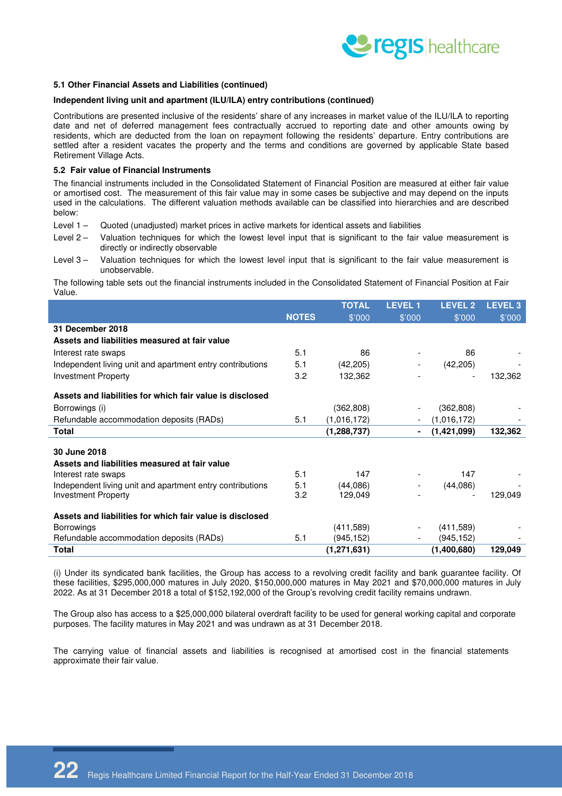

#### **5.1 Other Financial Assets and Liabilities (continued)**

#### **Independent living unit and apartment (ILU/ILA) entry contributions (continued)**

Contributions are presented inclusive of the residents' share of any increases in market value of the ILU/ILA to reporting date and net of deferred management fees contractually accrued to reporting date and other amounts owing by residents, which are deducted from the loan on repayment following the residents' departure. Entry contributions are settled after a resident vacates the property and the terms and conditions are governed by applicable State based Retirement Village Acts.

#### **5.2 Fair value of Financial Instruments**

The financial instruments included in the Consolidated Statement of Financial Position are measured at either fair value or amortised cost. The measurement of this fair value may in some cases be subjective and may depend on the inputs used in the calculations. The different valuation methods available can be classified into hierarchies and are described below:

- Level 1 Quoted (unadjusted) market prices in active markets for identical assets and liabilities
- Level 2 Valuation techniques for which the lowest level input that is significant to the fair value measurement is directly or indirectly observable
- Level 3 Valuation techniques for which the lowest level input that is significant to the fair value measurement is unobservable.

The following table sets out the financial instruments included in the Consolidated Statement of Financial Position at Fair Value.

|                                                           |              | <b>TOTAL</b>  | <b>LEVEL 1</b>           | <b>LEVEL 2</b> | <b>LEVEL 3</b> |
|-----------------------------------------------------------|--------------|---------------|--------------------------|----------------|----------------|
|                                                           | <b>NOTES</b> | \$'000        | \$'000                   | \$'000         | \$'000         |
| 31 December 2018                                          |              |               |                          |                |                |
| Assets and liabilities measured at fair value             |              |               |                          |                |                |
| Interest rate swaps                                       | 5.1          | 86            |                          | 86             |                |
| Independent living unit and apartment entry contributions | 5.1          | (42, 205)     |                          | (42, 205)      |                |
| <b>Investment Property</b>                                | 3.2          | 132,362       |                          |                | 132,362        |
| Assets and liabilities for which fair value is disclosed  |              |               |                          |                |                |
| Borrowings (i)                                            |              | (362, 808)    |                          | (362, 808)     |                |
| Refundable accommodation deposits (RADs)                  | 5.1          | (1,016,172)   |                          | (1,016,172)    |                |
| Total                                                     |              | (1, 288, 737) | $\blacksquare$           | (1,421,099)    | 132,362        |
| 30 June 2018                                              |              |               |                          |                |                |
| Assets and liabilities measured at fair value             |              |               |                          |                |                |
| Interest rate swaps                                       | 5.1          | 147           |                          | 147            |                |
| Independent living unit and apartment entry contributions | 5.1          | (44,086)      |                          | (44,086)       |                |
| <b>Investment Property</b>                                | 3.2          | 129,049       |                          |                | 129,049        |
| Assets and liabilities for which fair value is disclosed  |              |               |                          |                |                |
| <b>Borrowings</b>                                         |              | (411,589)     |                          | (411,589)      |                |
| Refundable accommodation deposits (RADs)                  | 5.1          | (945,152)     | $\overline{\phantom{a}}$ | (945, 152)     |                |
| Total                                                     |              | (1, 271, 631) |                          | (1,400,680)    | 129,049        |
|                                                           |              |               |                          |                |                |

(i) Under its syndicated bank facilities, the Group has access to a revolving credit facility and bank guarantee facility. Of these facilities, \$295,000,000 matures in July 2020, \$150,000,000 matures in May 2021 and \$70,000,000 matures in July 2022. As at 31 December 2018 a total of \$152,192,000 of the Group's revolving credit facility remains undrawn.

The Group also has access to a \$25,000,000 bilateral overdraft facility to be used for general working capital and corporate purposes. The facility matures in May 2021 and was undrawn as at 31 December 2018.

The carrying value of financial assets and liabilities is recognised at amortised cost in the financial statements approximate their fair value.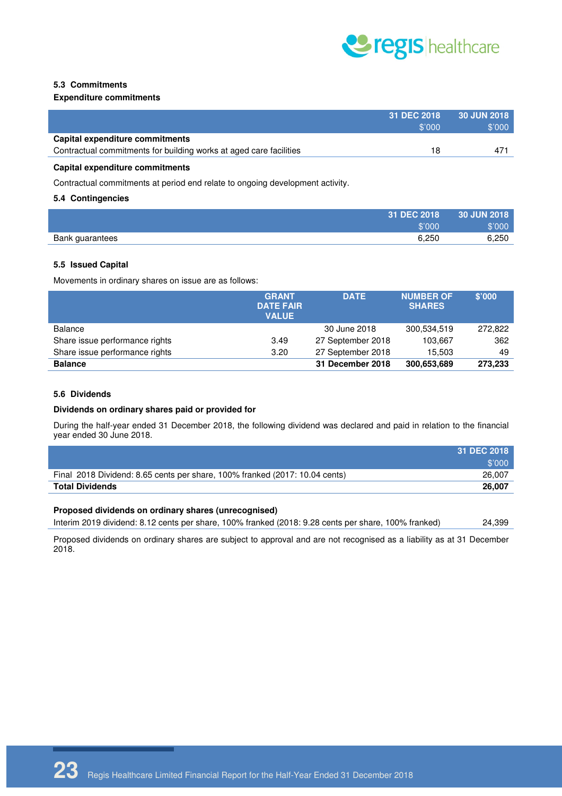

#### **5.3 Commitments**

#### **Expenditure commitments**

|                                                                    | 31 DEC 2018<br>\$'000 | 30 JUN 2018<br>\$'000 |
|--------------------------------------------------------------------|-----------------------|-----------------------|
| Capital expenditure commitments                                    |                       |                       |
| Contractual commitments for building works at aged care facilities | 18                    | 47 <sup>°</sup>       |
|                                                                    |                       |                       |

#### **Capital expenditure commitments**

Contractual commitments at period end relate to ongoing development activity.

#### **5.4 Contingencies**

| 31 DEC 2018              | 30 JUN 2018 |
|--------------------------|-------------|
| \$'000                   | \$'000      |
| 6,250<br>Bank guarantees | 6,250       |

#### **5.5 Issued Capital**

Movements in ordinary shares on issue are as follows:

|                                | <b>GRANT</b><br><b>DATE FAIR</b><br><b>VALUE</b> | <b>DATE</b>       | <b>NUMBER OF</b><br><b>SHARES</b> | \$'000  |
|--------------------------------|--------------------------------------------------|-------------------|-----------------------------------|---------|
| Balance                        |                                                  | 30 June 2018      | 300,534,519                       | 272,822 |
| Share issue performance rights | 3.49                                             | 27 September 2018 | 103.667                           | 362     |
| Share issue performance rights | 3.20                                             | 27 September 2018 | 15.503                            | 49      |
| <b>Balance</b>                 |                                                  | 31 December 2018  | 300,653,689                       | 273,233 |

#### **5.6 Dividends**

#### **Dividends on ordinary shares paid or provided for**

During the half-year ended 31 December 2018, the following dividend was declared and paid in relation to the financial year ended 30 June 2018.

|                                                                             | 31 DEC 2018 |
|-----------------------------------------------------------------------------|-------------|
|                                                                             | \$'000      |
| Final 2018 Dividend: 8.65 cents per share, 100% franked (2017: 10.04 cents) | 26.007      |
| <b>Total Dividends</b>                                                      | 26.007      |

#### **Proposed dividends on ordinary shares (unrecognised)**

Interim 2019 dividend: 8.12 cents per share, 100% franked (2018: 9.28 cents per share, 100% franked) 24,399

Proposed dividends on ordinary shares are subject to approval and are not recognised as a liability as at 31 December 2018.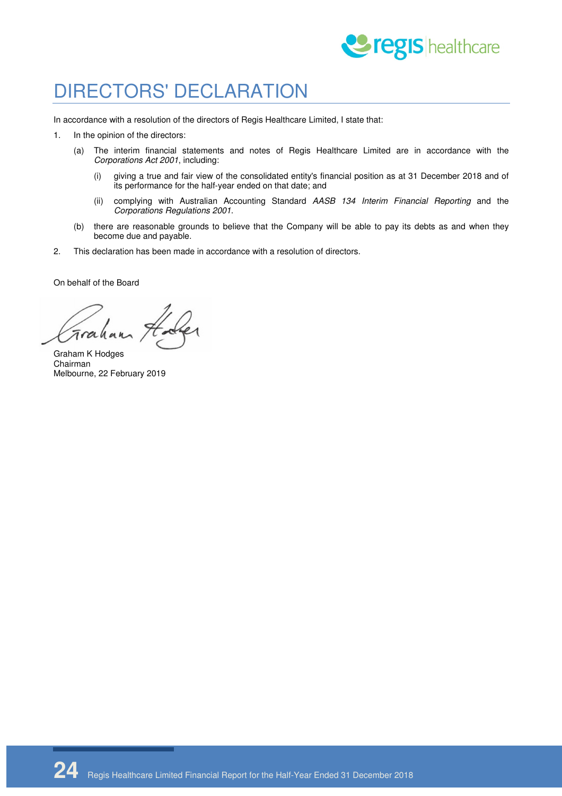

### DIRECTORS' DECLARATION

In accordance with a resolution of the directors of Regis Healthcare Limited, I state that:

- 1. In the opinion of the directors:
	- (a) The interim financial statements and notes of Regis Healthcare Limited are in accordance with the Corporations Act 2001, including:
		- (i) giving a true and fair view of the consolidated entity's financial position as at 31 December 2018 and of its performance for the half-year ended on that date; and
		- (ii) complying with Australian Accounting Standard AASB 134 Interim Financial Reporting and the Corporations Regulations 2001.
	- (b) there are reasonable grounds to believe that the Company will be able to pay its debts as and when they become due and payable.
- 2. This declaration has been made in accordance with a resolution of directors.

On behalf of the Board

Frah

Graham K Hodges Chairman Melbourne, 22 February 2019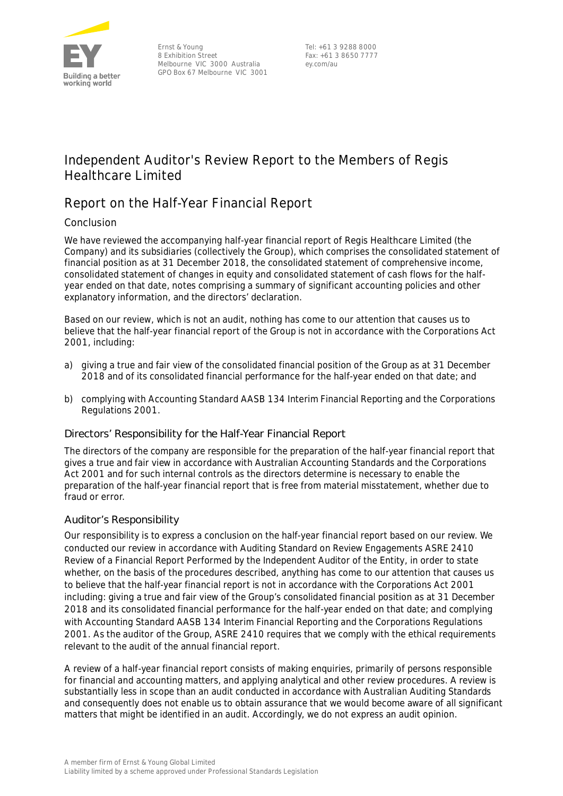

Ernst & Young 8 Exhibition Street Melbourne VIC 3000 Australia GPO Box 67 Melbourne VIC 3001

Tel: +61 3 9288 8000 Fax: +61 3 8650 7777 ey.com/au

### **Independent Auditor's Review Report to the Members of Regis Healthcare Limited**

### **Report on the Half-Year Financial Report**

### **Conclusion**

We have reviewed the accompanying half-year financial report of Regis Healthcare Limited (the Company) and its subsidiaries (collectively the Group), which comprises the consolidated statement of financial position as at 31 December 2018, the consolidated statement of comprehensive income, consolidated statement of changes in equity and consolidated statement of cash flows for the halfyear ended on that date, notes comprising a summary of significant accounting policies and other explanatory information, and the directors' declaration.

Based on our review, which is not an audit, nothing has come to our attention that causes us to believe that the half-year financial report of the Group is not in accordance with the *Corporations Act 2001*, including:

- a) giving a true and fair view of the consolidated financial position of the Group as at 31 December 2018 and of its consolidated financial performance for the half-year ended on that date; and
- b) complying with Accounting Standard AASB 134 *Interim Financial Reporting* and the *Corporations Regulations 2001*.

### Directors' Responsibility for the Half-Year Financial Report

The directors of the company are responsible for the preparation of the half-year financial report that gives a true and fair view in accordance with Australian Accounting Standards and the *Corporations Act 2001* and for such internal controls as the directors determine is necessary to enable the preparation of the half-year financial report that is free from material misstatement, whether due to fraud or error.

### Auditor's Responsibility

Our responsibility is to express a conclusion on the half-year financial report based on our review. We conducted our review in accordance with Auditing Standard on *Review Engagements ASRE 2410 Review of a Financial Report Performed by the Independent Auditor of the Entity*, in order to state whether, on the basis of the procedures described, anything has come to our attention that causes us to believe that the half-year financial report is not in accordance with the *Corporations Act 2001* including: giving a true and fair view of the Group's consolidated financial position as at 31 December 2018 and its consolidated financial performance for the half-year ended on that date; and complying with Accounting Standard AASB 134 *Interim Financial Reporting* and the *Corporations Regulations 2001*. As the auditor of the Group, ASRE 2410 requires that we comply with the ethical requirements relevant to the audit of the annual financial report.

A review of a half-year financial report consists of making enquiries, primarily of persons responsible for financial and accounting matters, and applying analytical and other review procedures. A review is substantially less in scope than an audit conducted in accordance with Australian Auditing Standards and consequently does not enable us to obtain assurance that we would become aware of all significant matters that might be identified in an audit. Accordingly, we do not express an audit opinion.